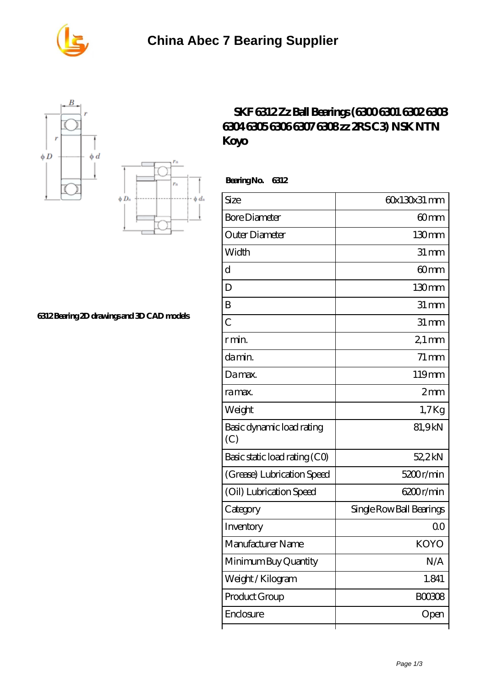





## **[6312 Bearing 2D drawings and 3D CAD models](https://m.seahorse-design.com/pic-560141.html)**

## **[SKF 6312 Zz Ball Bearings \(6300 6301 6302 6303](https://m.seahorse-design.com/ntn-6307-bearing/skf-6312-zz-ball-bearings-6300-6301-6302-6303-6304-6305-6306-6307-6308-zz-2rs-c3-nsk-ntn-koyo.html) [6304 6305 6306 6307 6308 zz 2RS C3\) NSK NTN](https://m.seahorse-design.com/ntn-6307-bearing/skf-6312-zz-ball-bearings-6300-6301-6302-6303-6304-6305-6306-6307-6308-zz-2rs-c3-nsk-ntn-koyo.html) [Koyo](https://m.seahorse-design.com/ntn-6307-bearing/skf-6312-zz-ball-bearings-6300-6301-6302-6303-6304-6305-6306-6307-6308-zz-2rs-c3-nsk-ntn-koyo.html)**

 **Bearing No. 6312**

| Size                             | 60x130x31 mm             |
|----------------------------------|--------------------------|
| <b>Bore Diameter</b>             | 60mm                     |
| Outer Diameter                   | 130mm                    |
| Width                            | $31 \,\mathrm{mm}$       |
| d                                | 60 <sub>mm</sub>         |
| D                                | 130 <sub>mm</sub>        |
| B                                | $31 \, \text{mm}$        |
| $\overline{C}$                   | $31 \, \text{mm}$        |
| r min.                           | $21 \,\mathrm{mm}$       |
| da min.                          | $71 \,\mathrm{mm}$       |
| Damax.                           | 119mm                    |
| ra max.                          | 2mm                      |
| Weight                           | $1.7$ Kg                 |
| Basic dynamic load rating<br>(C) | 81,9kN                   |
| Basic static load rating (CO)    | 52,2kN                   |
| (Grease) Lubrication Speed       | 5200r/min                |
| (Oil) Lubrication Speed          | 6200r/min                |
| Category                         | Single Row Ball Bearings |
| Inventory                        | 0 <sub>0</sub>           |
| Manufacturer Name                | <b>KOYO</b>              |
| Minimum Buy Quantity             | N/A                      |
| Weight/Kilogram                  | 1.841                    |
| Product Group                    | <b>BOO3O8</b>            |
| Enclosure                        | Open                     |
|                                  |                          |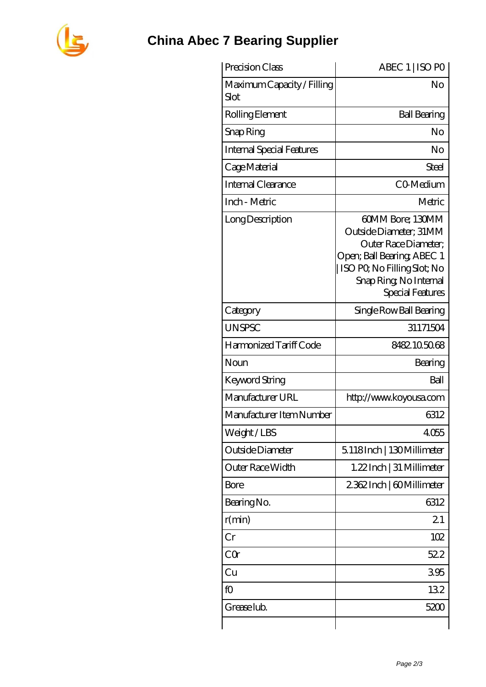

## **[China Abec 7 Bearing Supplier](https://m.seahorse-design.com)**

| Precision Class                    | ABEC 1   ISO PO                                                                                                                                                               |
|------------------------------------|-------------------------------------------------------------------------------------------------------------------------------------------------------------------------------|
| Maximum Capacity / Filling<br>Slot | No                                                                                                                                                                            |
| Rolling Element                    | <b>Ball Bearing</b>                                                                                                                                                           |
| Snap Ring                          | No                                                                                                                                                                            |
| <b>Internal Special Features</b>   | No                                                                                                                                                                            |
| Cage Material                      | Steel                                                                                                                                                                         |
| Internal Clearance                 | CO-Medium                                                                                                                                                                     |
| Inch - Metric                      | Metric                                                                                                                                                                        |
| Long Description                   | 60MM Bore; 130MM<br>Outside Diameter: 31MM<br>Outer Race Diameter;<br>Open; Ball Bearing; ABEC 1<br>ISO PO, No Filling Slot; No<br>Snap Ring, No Internal<br>Special Features |
| Category                           | Single Row Ball Bearing                                                                                                                                                       |
| <b>UNSPSC</b>                      | 31171504                                                                                                                                                                      |
| Harmonized Tariff Code             | 8482105068                                                                                                                                                                    |
| Noun                               | Bearing                                                                                                                                                                       |
| Keyword String                     | Ball                                                                                                                                                                          |
| Manufacturer URL                   | http://www.koyousa.com                                                                                                                                                        |
| Manufacturer Item Number           | 6312                                                                                                                                                                          |
| Weight/LBS                         | 4055                                                                                                                                                                          |
| Outside Diameter                   | 5.118Inch   130Millimeter                                                                                                                                                     |
| Outer Race Width                   | 1.22Inch   31 Millimeter                                                                                                                                                      |
| <b>Bore</b>                        | 2362Inch   60Millimeter                                                                                                                                                       |
| Bearing No.                        | 6312                                                                                                                                                                          |
| r(min)                             | 21                                                                                                                                                                            |
| Cr                                 | 102                                                                                                                                                                           |
| CQr                                | 522                                                                                                                                                                           |
| Cu                                 | 395                                                                                                                                                                           |
| fO                                 | 132                                                                                                                                                                           |
| Grease lub.                        | 5200                                                                                                                                                                          |